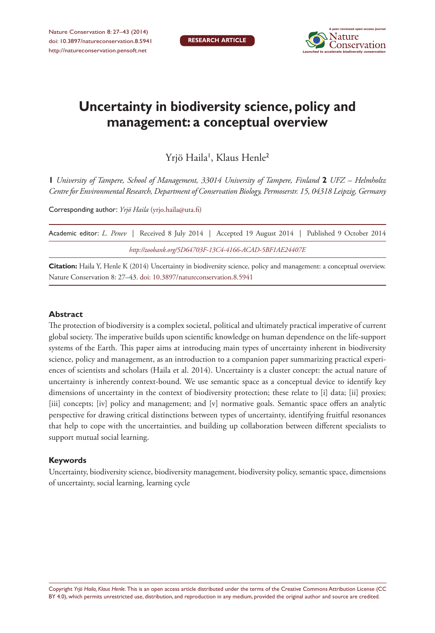

# **Uncertainty in biodiversity science, policy and management: a conceptual overview**

Yrjö Haila', Klaus Henle<sup>2</sup>

**1** *University of Tampere, School of Management, 33014 University of Tampere, Finland* **2** *UFZ – Helmholtz Centre for Environmental Research, Department of Conservation Biology, Permoserstr. 15, 04318 Leipzig, Germany*

Corresponding author: *Yrjö Haila* [\(yrjo.haila@uta.fi](mailto:yrjo.haila@uta.fi))

|                                                         |  |  |  | Academic editor: L. Penev   Received 8 July 2014   Accepted 19 August 2014   Published 9 October 2014 |  |  |  |  |  |  |
|---------------------------------------------------------|--|--|--|-------------------------------------------------------------------------------------------------------|--|--|--|--|--|--|
| http://zoobank.org/5D64703F-13C4-4166-ACAD-5BF1AE24407E |  |  |  |                                                                                                       |  |  |  |  |  |  |

**Citation:** Haila Y, Henle K (2014) Uncertainty in biodiversity science, policy and management: a conceptual overview. Nature Conservation 8: 27–43. [doi: 10.3897/natureconservation.8.5941](http://dx.doi.org/10.3897/natureconservation.8.5941)

#### **Abstract**

The protection of biodiversity is a complex societal, political and ultimately practical imperative of current global society. The imperative builds upon scientific knowledge on human dependence on the life-support systems of the Earth. This paper aims at introducing main types of uncertainty inherent in biodiversity science, policy and management, as an introduction to a companion paper summarizing practical experiences of scientists and scholars (Haila et al. 2014). Uncertainty is a cluster concept: the actual nature of uncertainty is inherently context-bound. We use semantic space as a conceptual device to identify key dimensions of uncertainty in the context of biodiversity protection; these relate to [i] data; [ii] proxies; [iii] concepts; [iv] policy and management; and [v] normative goals. Semantic space offers an analytic perspective for drawing critical distinctions between types of uncertainty, identifying fruitful resonances that help to cope with the uncertainties, and building up collaboration between different specialists to support mutual social learning.

#### **Keywords**

Uncertainty, biodiversity science, biodiversity management, biodiversity policy, semantic space, dimensions of uncertainty, social learning, learning cycle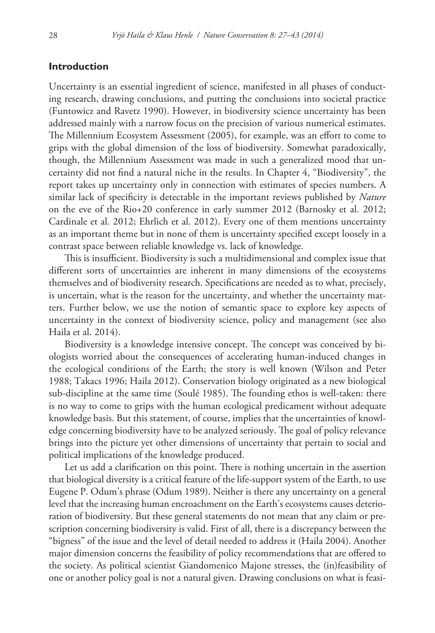### **Introduction**

Uncertainty is an essential ingredient of science, manifested in all phases of conducting research, drawing conclusions, and putting the conclusions into societal practice (Funtowicz and Ravetz 1990). However, in biodiversity science uncertainty has been addressed mainly with a narrow focus on the precision of various numerical estimates. The Millennium Ecosystem Assessment (2005), for example, was an effort to come to grips with the global dimension of the loss of biodiversity. Somewhat paradoxically, though, the Millennium Assessment was made in such a generalized mood that uncertainty did not find a natural niche in the results. In Chapter 4, "Biodiversity", the report takes up uncertainty only in connection with estimates of species numbers. A similar lack of specificity is detectable in the important reviews published by *Nature* on the eve of the Rio+20 conference in early summer 2012 (Barnosky et al. 2012; Cardinale et al. 2012; Ehrlich et al. 2012). Every one of them mentions uncertainty as an important theme but in none of them is uncertainty specified except loosely in a contrast space between reliable knowledge vs. lack of knowledge.

This is insufficient. Biodiversity is such a multidimensional and complex issue that different sorts of uncertainties are inherent in many dimensions of the ecosystems themselves and of biodiversity research. Specifications are needed as to what, precisely, is uncertain, what is the reason for the uncertainty, and whether the uncertainty matters. Further below, we use the notion of semantic space to explore key aspects of uncertainty in the context of biodiversity science, policy and management (see also Haila et al. 2014).

Biodiversity is a knowledge intensive concept. The concept was conceived by biologists worried about the consequences of accelerating human-induced changes in the ecological conditions of the Earth; the story is well known (Wilson and Peter 1988; Takacs 1996; Haila 2012). Conservation biology originated as a new biological sub-discipline at the same time (Soulé 1985). The founding ethos is well-taken: there is no way to come to grips with the human ecological predicament without adequate knowledge basis. But this statement, of course, implies that the uncertainties of knowledge concerning biodiversity have to be analyzed seriously. The goal of policy relevance brings into the picture yet other dimensions of uncertainty that pertain to social and political implications of the knowledge produced.

Let us add a clarification on this point. There is nothing uncertain in the assertion that biological diversity is a critical feature of the life-support system of the Earth, to use Eugene P. Odum's phrase (Odum 1989). Neither is there any uncertainty on a general level that the increasing human encroachment on the Earth's ecosystems causes deterioration of biodiversity. But these general statements do not mean that any claim or prescription concerning biodiversity is valid. First of all, there is a discrepancy between the "bigness" of the issue and the level of detail needed to address it (Haila 2004). Another major dimension concerns the feasibility of policy recommendations that are offered to the society. As political scientist Giandomenico Majone stresses, the (in)feasibility of one or another policy goal is not a natural given. Drawing conclusions on what is feasi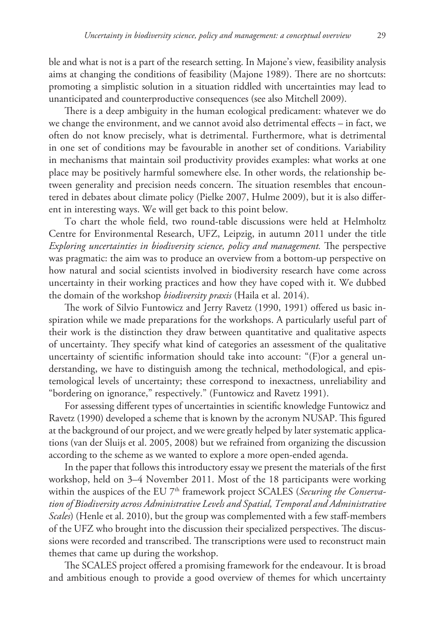ble and what is not is a part of the research setting. In Majone's view, feasibility analysis aims at changing the conditions of feasibility (Majone 1989). There are no shortcuts: promoting a simplistic solution in a situation riddled with uncertainties may lead to unanticipated and counterproductive consequences (see also Mitchell 2009).

There is a deep ambiguity in the human ecological predicament: whatever we do we change the environment, and we cannot avoid also detrimental effects – in fact, we often do not know precisely, what is detrimental. Furthermore, what is detrimental in one set of conditions may be favourable in another set of conditions. Variability in mechanisms that maintain soil productivity provides examples: what works at one place may be positively harmful somewhere else. In other words, the relationship between generality and precision needs concern. The situation resembles that encountered in debates about climate policy (Pielke 2007, Hulme 2009), but it is also different in interesting ways. We will get back to this point below.

To chart the whole field, two round-table discussions were held at Helmholtz Centre for Environmental Research, UFZ, Leipzig, in autumn 2011 under the title *Exploring uncertainties in biodiversity science, policy and management.* The perspective was pragmatic: the aim was to produce an overview from a bottom-up perspective on how natural and social scientists involved in biodiversity research have come across uncertainty in their working practices and how they have coped with it. We dubbed the domain of the workshop *biodiversity praxis* (Haila et al. 2014).

The work of Silvio Funtowicz and Jerry Ravetz (1990, 1991) offered us basic inspiration while we made preparations for the workshops. A particularly useful part of their work is the distinction they draw between quantitative and qualitative aspects of uncertainty. They specify what kind of categories an assessment of the qualitative uncertainty of scientific information should take into account: "(F)or a general understanding, we have to distinguish among the technical, methodological, and epistemological levels of uncertainty; these correspond to inexactness, unreliability and "bordering on ignorance," respectively." (Funtowicz and Ravetz 1991).

For assessing different types of uncertainties in scientific knowledge Funtowicz and Ravetz (1990) developed a scheme that is known by the acronym NUSAP. This figured at the background of our project, and we were greatly helped by later systematic applications (van der Sluijs et al. 2005, 2008) but we refrained from organizing the discussion according to the scheme as we wanted to explore a more open-ended agenda.

In the paper that follows this introductory essay we present the materials of the first workshop, held on 3–4 November 2011. Most of the 18 participants were working within the auspices of the EU 7<sup>th</sup> framework project SCALES (*Securing the Conservation of Biodiversity across Administrative Levels and Spatial, Temporal and Administrative Scales*) (Henle et al. 2010), but the group was complemented with a few staff-members of the UFZ who brought into the discussion their specialized perspectives. The discussions were recorded and transcribed. The transcriptions were used to reconstruct main themes that came up during the workshop.

The SCALES project offered a promising framework for the endeavour. It is broad and ambitious enough to provide a good overview of themes for which uncertainty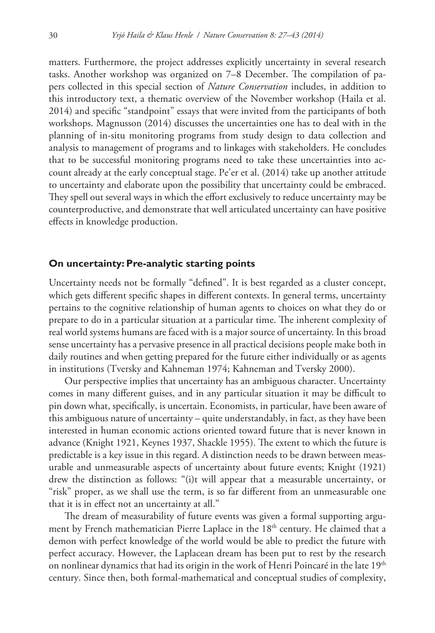matters. Furthermore, the project addresses explicitly uncertainty in several research tasks. Another workshop was organized on 7–8 December. The compilation of papers collected in this special section of *Nature Conservation* includes, in addition to this introductory text, a thematic overview of the November workshop (Haila et al. 2014) and specific "standpoint" essays that were invited from the participants of both workshops. Magnusson (2014) discusses the uncertainties one has to deal with in the planning of in-situ monitoring programs from study design to data collection and analysis to management of programs and to linkages with stakeholders. He concludes that to be successful monitoring programs need to take these uncertainties into account already at the early conceptual stage. Pe'er et al. (2014) take up another attitude to uncertainty and elaborate upon the possibility that uncertainty could be embraced. They spell out several ways in which the effort exclusively to reduce uncertainty may be counterproductive, and demonstrate that well articulated uncertainty can have positive effects in knowledge production.

### **On uncertainty: Pre-analytic starting points**

Uncertainty needs not be formally "defined". It is best regarded as a cluster concept, which gets different specific shapes in different contexts. In general terms, uncertainty pertains to the cognitive relationship of human agents to choices on what they do or prepare to do in a particular situation at a particular time. The inherent complexity of real world systems humans are faced with is a major source of uncertainty. In this broad sense uncertainty has a pervasive presence in all practical decisions people make both in daily routines and when getting prepared for the future either individually or as agents in institutions (Tversky and Kahneman 1974; Kahneman and Tversky 2000).

Our perspective implies that uncertainty has an ambiguous character. Uncertainty comes in many different guises, and in any particular situation it may be difficult to pin down what, specifically, is uncertain. Economists, in particular, have been aware of this ambiguous nature of uncertainty – quite understandably, in fact, as they have been interested in human economic actions oriented toward future that is never known in advance (Knight 1921, Keynes 1937, Shackle 1955). The extent to which the future is predictable is a key issue in this regard. A distinction needs to be drawn between measurable and unmeasurable aspects of uncertainty about future events; Knight (1921) drew the distinction as follows: "(i)t will appear that a measurable uncertainty, or "risk" proper, as we shall use the term, is so far different from an unmeasurable one that it is in effect not an uncertainty at all."

The dream of measurability of future events was given a formal supporting argument by French mathematician Pierre Laplace in the 18<sup>th</sup> century. He claimed that a demon with perfect knowledge of the world would be able to predict the future with perfect accuracy. However, the Laplacean dream has been put to rest by the research on nonlinear dynamics that had its origin in the work of Henri Poincaré in the late 19<sup>th</sup> century. Since then, both formal-mathematical and conceptual studies of complexity,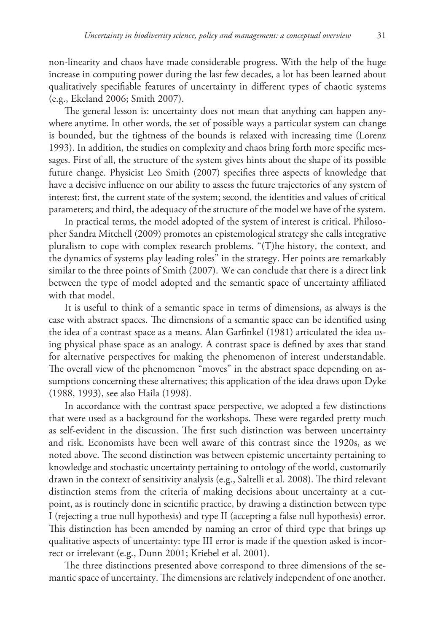non-linearity and chaos have made considerable progress. With the help of the huge increase in computing power during the last few decades, a lot has been learned about qualitatively specifiable features of uncertainty in different types of chaotic systems (e.g., Ekeland 2006; Smith 2007).

The general lesson is: uncertainty does not mean that anything can happen anywhere anytime. In other words, the set of possible ways a particular system can change is bounded, but the tightness of the bounds is relaxed with increasing time (Lorenz 1993). In addition, the studies on complexity and chaos bring forth more specific messages. First of all, the structure of the system gives hints about the shape of its possible future change. Physicist Leo Smith (2007) specifies three aspects of knowledge that have a decisive influence on our ability to assess the future trajectories of any system of interest: first, the current state of the system; second, the identities and values of critical parameters; and third, the adequacy of the structure of the model we have of the system.

In practical terms, the model adopted of the system of interest is critical. Philosopher Sandra Mitchell (2009) promotes an epistemological strategy she calls integrative pluralism to cope with complex research problems. "(T)he history, the context, and the dynamics of systems play leading roles" in the strategy. Her points are remarkably similar to the three points of Smith (2007). We can conclude that there is a direct link between the type of model adopted and the semantic space of uncertainty affiliated with that model.

It is useful to think of a semantic space in terms of dimensions, as always is the case with abstract spaces. The dimensions of a semantic space can be identified using the idea of a contrast space as a means. Alan Garfinkel (1981) articulated the idea using physical phase space as an analogy. A contrast space is defined by axes that stand for alternative perspectives for making the phenomenon of interest understandable. The overall view of the phenomenon "moves" in the abstract space depending on assumptions concerning these alternatives; this application of the idea draws upon Dyke (1988, 1993), see also Haila (1998).

In accordance with the contrast space perspective, we adopted a few distinctions that were used as a background for the workshops. These were regarded pretty much as self-evident in the discussion. The first such distinction was between uncertainty and risk. Economists have been well aware of this contrast since the 1920s, as we noted above. The second distinction was between epistemic uncertainty pertaining to knowledge and stochastic uncertainty pertaining to ontology of the world, customarily drawn in the context of sensitivity analysis (e.g., Saltelli et al. 2008). The third relevant distinction stems from the criteria of making decisions about uncertainty at a cutpoint, as is routinely done in scientific practice, by drawing a distinction between type I (rejecting a true null hypothesis) and type II (accepting a false null hypothesis) error. This distinction has been amended by naming an error of third type that brings up qualitative aspects of uncertainty: type III error is made if the question asked is incorrect or irrelevant (e.g., Dunn 2001; Kriebel et al. 2001).

The three distinctions presented above correspond to three dimensions of the semantic space of uncertainty. The dimensions are relatively independent of one another.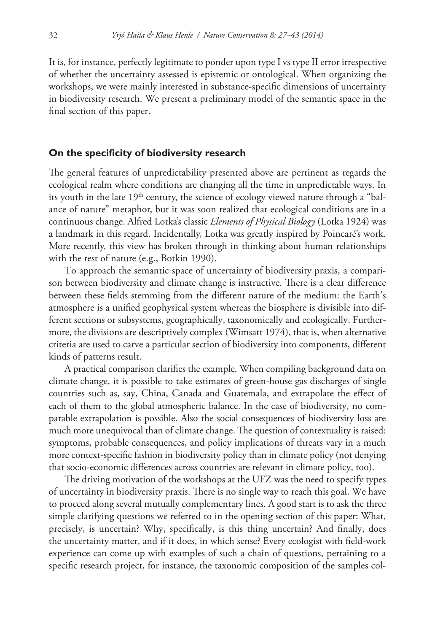It is, for instance, perfectly legitimate to ponder upon type I vs type II error irrespective of whether the uncertainty assessed is epistemic or ontological. When organizing the workshops, we were mainly interested in substance-specific dimensions of uncertainty in biodiversity research. We present a preliminary model of the semantic space in the final section of this paper.

### **On the specificity of biodiversity research**

The general features of unpredictability presented above are pertinent as regards the ecological realm where conditions are changing all the time in unpredictable ways. In its youth in the late 19<sup>th</sup> century, the science of ecology viewed nature through a "balance of nature" metaphor, but it was soon realized that ecological conditions are in a continuous change. Alfred Lotka's classic *Elements of Physical Biology* (Lotka 1924) was a landmark in this regard. Incidentally, Lotka was greatly inspired by Poincaré's work. More recently, this view has broken through in thinking about human relationships with the rest of nature (e.g., Botkin 1990).

To approach the semantic space of uncertainty of biodiversity praxis, a comparison between biodiversity and climate change is instructive. There is a clear difference between these fields stemming from the different nature of the medium: the Earth's atmosphere is a unified geophysical system whereas the biosphere is divisible into different sections or subsystems, geographically, taxonomically and ecologically. Furthermore, the divisions are descriptively complex (Wimsatt 1974), that is, when alternative criteria are used to carve a particular section of biodiversity into components, different kinds of patterns result.

A practical comparison clarifies the example. When compiling background data on climate change, it is possible to take estimates of green-house gas discharges of single countries such as, say, China, Canada and Guatemala, and extrapolate the effect of each of them to the global atmospheric balance. In the case of biodiversity, no comparable extrapolation is possible. Also the social consequences of biodiversity loss are much more unequivocal than of climate change. The question of contextuality is raised: symptoms, probable consequences, and policy implications of threats vary in a much more context-specific fashion in biodiversity policy than in climate policy (not denying that socio-economic differences across countries are relevant in climate policy, too).

The driving motivation of the workshops at the UFZ was the need to specify types of uncertainty in biodiversity praxis. There is no single way to reach this goal. We have to proceed along several mutually complementary lines. A good start is to ask the three simple clarifying questions we referred to in the opening section of this paper: What, precisely, is uncertain? Why, specifically, is this thing uncertain? And finally, does the uncertainty matter, and if it does, in which sense? Every ecologist with field-work experience can come up with examples of such a chain of questions, pertaining to a specific research project, for instance, the taxonomic composition of the samples col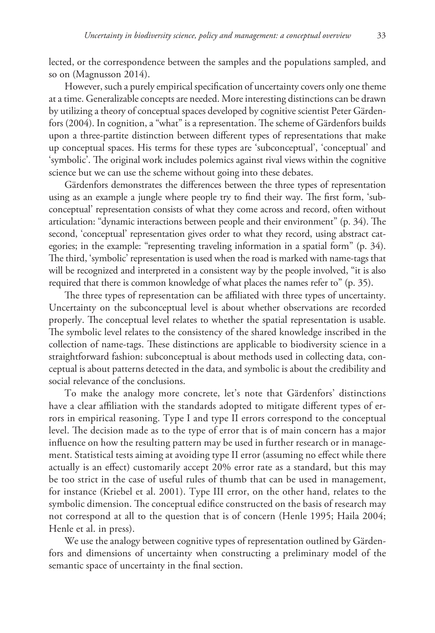lected, or the correspondence between the samples and the populations sampled, and so on (Magnusson 2014).

However, such a purely empirical specification of uncertainty covers only one theme at a time. Generalizable concepts are needed. More interesting distinctions can be drawn by utilizing a theory of conceptual spaces developed by cognitive scientist Peter Gärdenfors (2004). In cognition, a "what" is a representation. The scheme of Gärdenfors builds upon a three-partite distinction between different types of representations that make up conceptual spaces. His terms for these types are 'subconceptual', 'conceptual' and 'symbolic'. The original work includes polemics against rival views within the cognitive science but we can use the scheme without going into these debates.

Gärdenfors demonstrates the differences between the three types of representation using as an example a jungle where people try to find their way. The first form, 'subconceptual' representation consists of what they come across and record, often without articulation: "dynamic interactions between people and their environment" (p. 34). The second, 'conceptual' representation gives order to what they record, using abstract categories; in the example: "representing traveling information in a spatial form" (p. 34). The third, 'symbolic' representation is used when the road is marked with name-tags that will be recognized and interpreted in a consistent way by the people involved, "it is also required that there is common knowledge of what places the names refer to" (p. 35).

The three types of representation can be affiliated with three types of uncertainty. Uncertainty on the subconceptual level is about whether observations are recorded properly. The conceptual level relates to whether the spatial representation is usable. The symbolic level relates to the consistency of the shared knowledge inscribed in the collection of name-tags. These distinctions are applicable to biodiversity science in a straightforward fashion: subconceptual is about methods used in collecting data, conceptual is about patterns detected in the data, and symbolic is about the credibility and social relevance of the conclusions.

To make the analogy more concrete, let's note that Gärdenfors' distinctions have a clear affiliation with the standards adopted to mitigate different types of errors in empirical reasoning. Type I and type II errors correspond to the conceptual level. The decision made as to the type of error that is of main concern has a major influence on how the resulting pattern may be used in further research or in management. Statistical tests aiming at avoiding type II error (assuming no effect while there actually is an effect) customarily accept 20% error rate as a standard, but this may be too strict in the case of useful rules of thumb that can be used in management, for instance (Kriebel et al. 2001). Type III error, on the other hand, relates to the symbolic dimension. The conceptual edifice constructed on the basis of research may not correspond at all to the question that is of concern (Henle 1995; Haila 2004; Henle et al. in press).

We use the analogy between cognitive types of representation outlined by Gärdenfors and dimensions of uncertainty when constructing a preliminary model of the semantic space of uncertainty in the final section.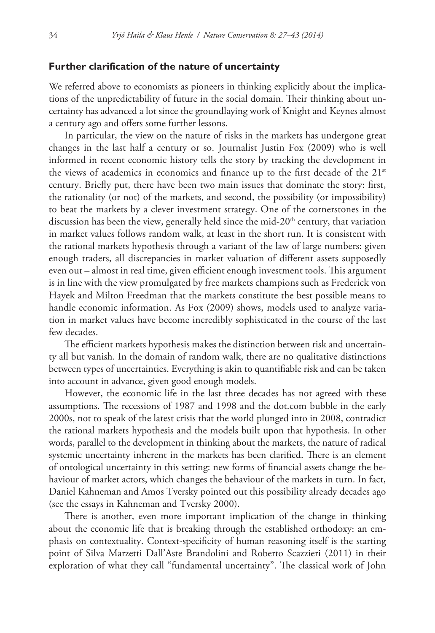### **Further clarification of the nature of uncertainty**

We referred above to economists as pioneers in thinking explicitly about the implications of the unpredictability of future in the social domain. Their thinking about uncertainty has advanced a lot since the groundlaying work of Knight and Keynes almost a century ago and offers some further lessons.

In particular, the view on the nature of risks in the markets has undergone great changes in the last half a century or so. Journalist Justin Fox (2009) who is well informed in recent economic history tells the story by tracking the development in the views of academics in economics and finance up to the first decade of the  $21<sup>st</sup>$ century. Briefly put, there have been two main issues that dominate the story: first, the rationality (or not) of the markets, and second, the possibility (or impossibility) to beat the markets by a clever investment strategy. One of the cornerstones in the discussion has been the view, generally held since the mid- $20<sup>th</sup>$  century, that variation in market values follows random walk, at least in the short run. It is consistent with the rational markets hypothesis through a variant of the law of large numbers: given enough traders, all discrepancies in market valuation of different assets supposedly even out – almost in real time, given efficient enough investment tools. This argument is in line with the view promulgated by free markets champions such as Frederick von Hayek and Milton Freedman that the markets constitute the best possible means to handle economic information. As Fox (2009) shows, models used to analyze variation in market values have become incredibly sophisticated in the course of the last few decades.

The efficient markets hypothesis makes the distinction between risk and uncertainty all but vanish. In the domain of random walk, there are no qualitative distinctions between types of uncertainties. Everything is akin to quantifiable risk and can be taken into account in advance, given good enough models.

However, the economic life in the last three decades has not agreed with these assumptions. The recessions of 1987 and 1998 and the dot.com bubble in the early 2000s, not to speak of the latest crisis that the world plunged into in 2008, contradict the rational markets hypothesis and the models built upon that hypothesis. In other words, parallel to the development in thinking about the markets, the nature of radical systemic uncertainty inherent in the markets has been clarified. There is an element of ontological uncertainty in this setting: new forms of financial assets change the behaviour of market actors, which changes the behaviour of the markets in turn. In fact, Daniel Kahneman and Amos Tversky pointed out this possibility already decades ago (see the essays in Kahneman and Tversky 2000).

There is another, even more important implication of the change in thinking about the economic life that is breaking through the established orthodoxy: an emphasis on contextuality. Context-specificity of human reasoning itself is the starting point of Silva Marzetti Dall'Aste Brandolini and Roberto Scazzieri (2011) in their exploration of what they call "fundamental uncertainty". The classical work of John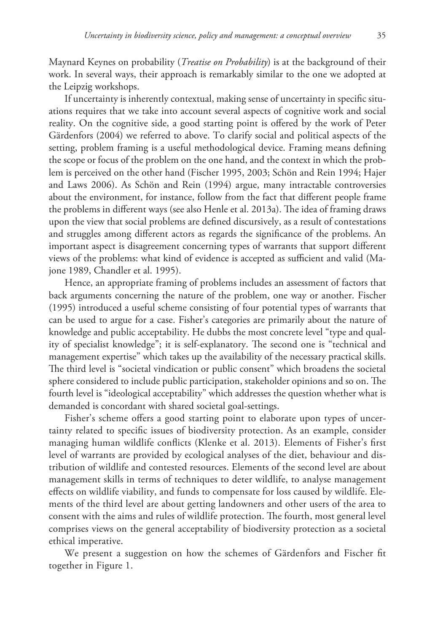Maynard Keynes on probability (*Treatise on Probability*) is at the background of their work. In several ways, their approach is remarkably similar to the one we adopted at the Leipzig workshops.

If uncertainty is inherently contextual, making sense of uncertainty in specific situations requires that we take into account several aspects of cognitive work and social reality. On the cognitive side, a good starting point is offered by the work of Peter Gärdenfors (2004) we referred to above. To clarify social and political aspects of the setting, problem framing is a useful methodological device. Framing means defining the scope or focus of the problem on the one hand, and the context in which the problem is perceived on the other hand (Fischer 1995, 2003; Schön and Rein 1994; Hajer and Laws 2006). As Schön and Rein (1994) argue, many intractable controversies about the environment, for instance, follow from the fact that different people frame the problems in different ways (see also Henle et al. 2013a). The idea of framing draws upon the view that social problems are defined discursively, as a result of contestations and struggles among different actors as regards the significance of the problems. An important aspect is disagreement concerning types of warrants that support different views of the problems: what kind of evidence is accepted as sufficient and valid (Majone 1989, Chandler et al. 1995).

Hence, an appropriate framing of problems includes an assessment of factors that back arguments concerning the nature of the problem, one way or another. Fischer (1995) introduced a useful scheme consisting of four potential types of warrants that can be used to argue for a case. Fisher's categories are primarily about the nature of knowledge and public acceptability. He dubbs the most concrete level "type and quality of specialist knowledge"; it is self-explanatory. The second one is "technical and management expertise" which takes up the availability of the necessary practical skills. The third level is "societal vindication or public consent" which broadens the societal sphere considered to include public participation, stakeholder opinions and so on. The fourth level is "ideological acceptability" which addresses the question whether what is demanded is concordant with shared societal goal-settings.

Fisher's scheme offers a good starting point to elaborate upon types of uncertainty related to specific issues of biodiversity protection. As an example, consider managing human wildlife conflicts (Klenke et al. 2013). Elements of Fisher's first level of warrants are provided by ecological analyses of the diet, behaviour and distribution of wildlife and contested resources. Elements of the second level are about management skills in terms of techniques to deter wildlife, to analyse management effects on wildlife viability, and funds to compensate for loss caused by wildlife. Elements of the third level are about getting landowners and other users of the area to consent with the aims and rules of wildlife protection. The fourth, most general level comprises views on the general acceptability of biodiversity protection as a societal ethical imperative.

We present a suggestion on how the schemes of Gärdenfors and Fischer fit together in Figure 1.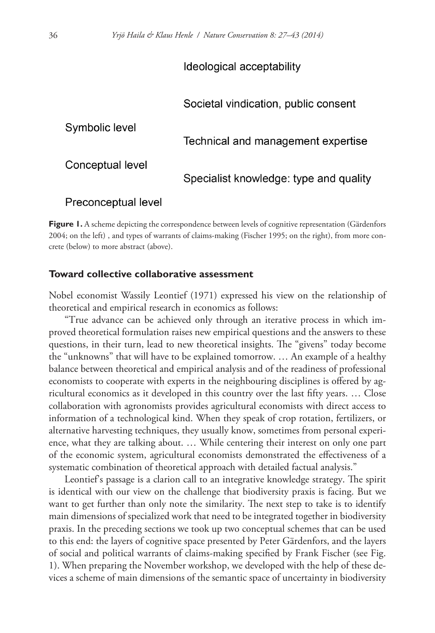# Ideological acceptability

## Societal vindication, public consent

Symbolic level

# Technical and management expertise

Conceptual level

Specialist knowledge: type and quality

### Preconceptual level

**Figure 1.** A scheme depicting the correspondence between levels of cognitive representation (Gärdenfors 2004; on the left) , and types of warrants of claims-making (Fischer 1995; on the right), from more concrete (below) to more abstract (above).

### **Toward collective collaborative assessment**

Nobel economist Wassily Leontief (1971) expressed his view on the relationship of theoretical and empirical research in economics as follows:

"True advance can be achieved only through an iterative process in which improved theoretical formulation raises new empirical questions and the answers to these questions, in their turn, lead to new theoretical insights. The "givens" today become the "unknowns" that will have to be explained tomorrow. … An example of a healthy balance between theoretical and empirical analysis and of the readiness of professional economists to cooperate with experts in the neighbouring disciplines is offered by agricultural economics as it developed in this country over the last fifty years. … Close collaboration with agronomists provides agricultural economists with direct access to information of a technological kind. When they speak of crop rotation, fertilizers, or alternative harvesting techniques, they usually know, sometimes from personal experience, what they are talking about. … While centering their interest on only one part of the economic system, agricultural economists demonstrated the effectiveness of a systematic combination of theoretical approach with detailed factual analysis."

Leontief's passage is a clarion call to an integrative knowledge strategy. The spirit is identical with our view on the challenge that biodiversity praxis is facing. But we want to get further than only note the similarity. The next step to take is to identify main dimensions of specialized work that need to be integrated together in biodiversity praxis. In the preceding sections we took up two conceptual schemes that can be used to this end: the layers of cognitive space presented by Peter Gärdenfors, and the layers of social and political warrants of claims-making specified by Frank Fischer (see Fig. 1). When preparing the November workshop, we developed with the help of these devices a scheme of main dimensions of the semantic space of uncertainty in biodiversity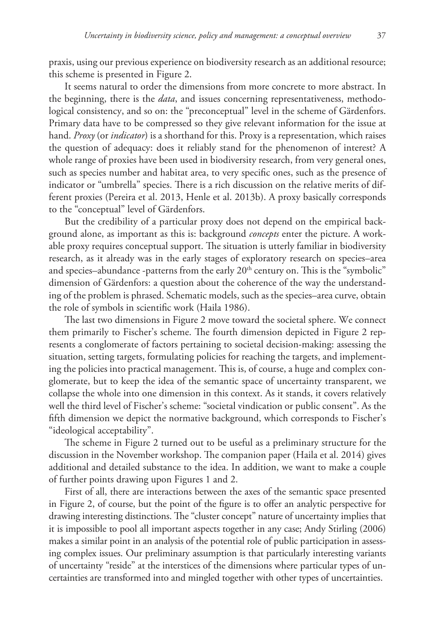praxis, using our previous experience on biodiversity research as an additional resource; this scheme is presented in Figure 2.

It seems natural to order the dimensions from more concrete to more abstract. In the beginning, there is the *data*, and issues concerning representativeness, methodological consistency, and so on: the "preconceptual" level in the scheme of Gärdenfors. Primary data have to be compressed so they give relevant information for the issue at hand. *Proxy* (or *indicator*) is a shorthand for this. Proxy is a representation, which raises the question of adequacy: does it reliably stand for the phenomenon of interest? A whole range of proxies have been used in biodiversity research, from very general ones, such as species number and habitat area, to very specific ones, such as the presence of indicator or "umbrella" species. There is a rich discussion on the relative merits of different proxies (Pereira et al. 2013, Henle et al. 2013b). A proxy basically corresponds to the "conceptual" level of Gärdenfors.

But the credibility of a particular proxy does not depend on the empirical background alone, as important as this is: background *concepts* enter the picture. A workable proxy requires conceptual support. The situation is utterly familiar in biodiversity research, as it already was in the early stages of exploratory research on species–area and species–abundance -patterns from the early  $20<sup>th</sup>$  century on. This is the "symbolic" dimension of Gärdenfors: a question about the coherence of the way the understanding of the problem is phrased. Schematic models, such as the species–area curve, obtain the role of symbols in scientific work (Haila 1986).

The last two dimensions in Figure 2 move toward the societal sphere. We connect them primarily to Fischer's scheme. The fourth dimension depicted in Figure 2 represents a conglomerate of factors pertaining to societal decision-making: assessing the situation, setting targets, formulating policies for reaching the targets, and implementing the policies into practical management. This is, of course, a huge and complex conglomerate, but to keep the idea of the semantic space of uncertainty transparent, we collapse the whole into one dimension in this context. As it stands, it covers relatively well the third level of Fischer's scheme: "societal vindication or public consent". As the fifth dimension we depict the normative background, which corresponds to Fischer's "ideological acceptability".

The scheme in Figure 2 turned out to be useful as a preliminary structure for the discussion in the November workshop. The companion paper (Haila et al. 2014) gives additional and detailed substance to the idea. In addition, we want to make a couple of further points drawing upon Figures 1 and 2.

First of all, there are interactions between the axes of the semantic space presented in Figure 2, of course, but the point of the figure is to offer an analytic perspective for drawing interesting distinctions. The "cluster concept" nature of uncertainty implies that it is impossible to pool all important aspects together in any case; Andy Stirling (2006) makes a similar point in an analysis of the potential role of public participation in assessing complex issues. Our preliminary assumption is that particularly interesting variants of uncertainty "reside" at the interstices of the dimensions where particular types of uncertainties are transformed into and mingled together with other types of uncertainties.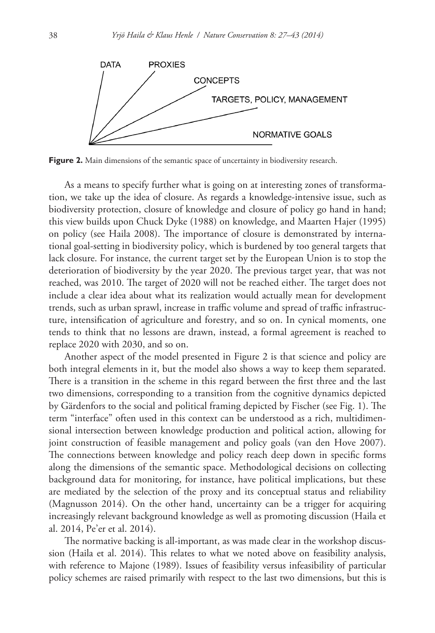

Figure 2. Main dimensions of the semantic space of uncertainty in biodiversity research.

As a means to specify further what is going on at interesting zones of transformation, we take up the idea of closure. As regards a knowledge-intensive issue, such as biodiversity protection, closure of knowledge and closure of policy go hand in hand; this view builds upon Chuck Dyke (1988) on knowledge, and Maarten Hajer (1995) on policy (see Haila 2008). The importance of closure is demonstrated by international goal-setting in biodiversity policy, which is burdened by too general targets that lack closure. For instance, the current target set by the European Union is to stop the deterioration of biodiversity by the year 2020. The previous target year, that was not reached, was 2010. The target of 2020 will not be reached either. The target does not include a clear idea about what its realization would actually mean for development trends, such as urban sprawl, increase in traffic volume and spread of traffic infrastructure, intensification of agriculture and forestry, and so on. In cynical moments, one tends to think that no lessons are drawn, instead, a formal agreement is reached to replace 2020 with 2030, and so on.

Another aspect of the model presented in Figure 2 is that science and policy are both integral elements in it, but the model also shows a way to keep them separated. There is a transition in the scheme in this regard between the first three and the last two dimensions, corresponding to a transition from the cognitive dynamics depicted by Gärdenfors to the social and political framing depicted by Fischer (see Fig. 1). The term "interface" often used in this context can be understood as a rich, multidimensional intersection between knowledge production and political action, allowing for joint construction of feasible management and policy goals (van den Hove 2007). The connections between knowledge and policy reach deep down in specific forms along the dimensions of the semantic space. Methodological decisions on collecting background data for monitoring, for instance, have political implications, but these are mediated by the selection of the proxy and its conceptual status and reliability (Magnusson 2014). On the other hand, uncertainty can be a trigger for acquiring increasingly relevant background knowledge as well as promoting discussion (Haila et al. 2014, Pe'er et al. 2014).

The normative backing is all-important, as was made clear in the workshop discussion (Haila et al. 2014). This relates to what we noted above on feasibility analysis, with reference to Majone (1989). Issues of feasibility versus infeasibility of particular policy schemes are raised primarily with respect to the last two dimensions, but this is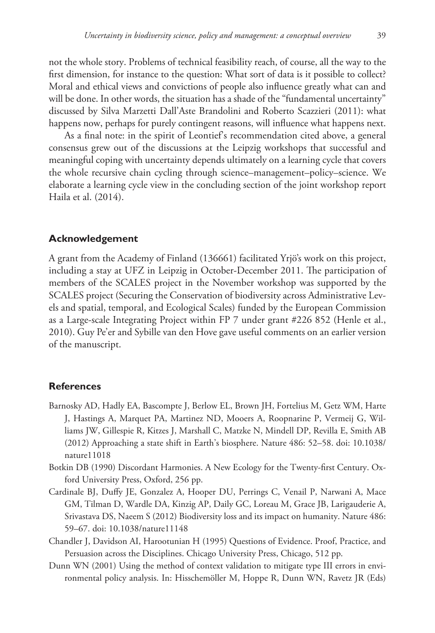not the whole story. Problems of technical feasibility reach, of course, all the way to the first dimension, for instance to the question: What sort of data is it possible to collect? Moral and ethical views and convictions of people also influence greatly what can and will be done. In other words, the situation has a shade of the "fundamental uncertainty" discussed by Silva Marzetti Dall'Aste Brandolini and Roberto Scazzieri (2011): what happens now, perhaps for purely contingent reasons, will influence what happens next.

As a final note: in the spirit of Leontief's recommendation cited above, a general consensus grew out of the discussions at the Leipzig workshops that successful and meaningful coping with uncertainty depends ultimately on a learning cycle that covers the whole recursive chain cycling through science–management–policy–science. We elaborate a learning cycle view in the concluding section of the joint workshop report Haila et al. (2014).

### **Acknowledgement**

A grant from the Academy of Finland (136661) facilitated Yrjö's work on this project, including a stay at UFZ in Leipzig in October-December 2011. The participation of members of the SCALES project in the November workshop was supported by the SCALES project (Securing the Conservation of biodiversity across Administrative Levels and spatial, temporal, and Ecological Scales) funded by the European Commission as a Large-scale Integrating Project within FP 7 under grant #226 852 (Henle et al., 2010). Guy Pe'er and Sybille van den Hove gave useful comments on an earlier version of the manuscript.

### **References**

- Barnosky AD, Hadly EA, Bascompte J, Berlow EL, Brown JH, Fortelius M, Getz WM, Harte J, Hastings A, Marquet PA, Martinez ND, Mooers A, Roopnarine P, Vermeij G, Williams JW, Gillespie R, Kitzes J, Marshall C, Matzke N, Mindell DP, Revilla E, Smith AB (2012) Approaching a state shift in Earth's biosphere. Nature 486: 52–58. [doi: 10.1038/](http://dx.doi.org/10.1038/nature11018) [nature11018](http://dx.doi.org/10.1038/nature11018)
- Botkin DB (1990) Discordant Harmonies. A New Ecology for the Twenty-first Century. Oxford University Press, Oxford, 256 pp.
- Cardinale BJ, Duffy JE, Gonzalez A, Hooper DU, Perrings C, Venail P, Narwani A, Mace GM, Tilman D, Wardle DA, Kinzig AP, Daily GC, Loreau M, Grace JB, Larigauderie A, Srivastava DS, Naeem S (2012) Biodiversity loss and its impact on humanity. Nature 486: 59–67. [doi: 10.1038/nature11148](http://dx.doi.org/10.1038/nature11148)
- Chandler J, Davidson AI, Harootunian H (1995) Questions of Evidence. Proof, Practice, and Persuasion across the Disciplines. Chicago University Press, Chicago, 512 pp.
- Dunn WN (2001) Using the method of context validation to mitigate type III errors in environmental policy analysis. In: Hisschemöller M, Hoppe R, Dunn WN, Ravetz JR (Eds)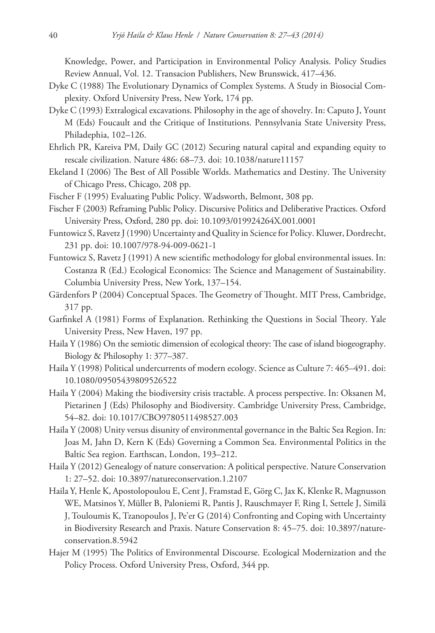Knowledge, Power, and Participation in Environmental Policy Analysis. Policy Studies Review Annual, Vol. 12. Transacion Publishers, New Brunswick, 417–436.

- Dyke C (1988) The Evolutionary Dynamics of Complex Systems. A Study in Biosocial Complexity. Oxford University Press, New York, 174 pp.
- Dyke C (1993) Extralogical excavations. Philosophy in the age of shovelry. In: Caputo J, Yount M (Eds) Foucault and the Critique of Institutions. Pennsylvania State University Press, Philadephia, 102–126.
- Ehrlich PR, Kareiva PM, Daily GC (2012) Securing natural capital and expanding equity to rescale civilization. Nature 486: 68–73. [doi: 10.1038/nature11157](http://dx.doi.org/10.1038/nature11157)
- Ekeland I (2006) The Best of All Possible Worlds. Mathematics and Destiny. The University of Chicago Press, Chicago, 208 pp.
- Fischer F (1995) Evaluating Public Policy. Wadsworth, Belmont, 308 pp.
- Fischer F (2003) Reframing Public Policy. Discursive Politics and Deliberative Practices. Oxford University Press, Oxford, 280 pp. [doi: 10.1093/019924264X.001.0001](http://dx.doi.org/10.1093/019924264X.001.0001)
- Funtowicz S, Ravetz J (1990) Uncertainty and Quality in Science for Policy. Kluwer, Dordrecht, 231 pp. [doi: 10.1007/978-94-009-0621-1](http://dx.doi.org/10.1007/978-94-009-0621-1)
- Funtowicz S, Ravetz J (1991) A new scientific methodology for global environmental issues. In: Costanza R (Ed.) Ecological Economics: The Science and Management of Sustainability. Columbia University Press, New York, 137–154.
- Gärdenfors P (2004) Conceptual Spaces. The Geometry of Thought. MIT Press, Cambridge, 317 pp.
- Garfinkel A (1981) Forms of Explanation. Rethinking the Questions in Social Theory. Yale University Press, New Haven, 197 pp.
- Haila Y (1986) On the semiotic dimension of ecological theory: The case of island biogeography. Biology & Philosophy 1: 377–387.
- Haila Y (1998) Political undercurrents of modern ecology. Science as Culture 7: 465–491. [doi:](http://dx.doi.org/10.1080/09505439809526522) [10.1080/09505439809526522](http://dx.doi.org/10.1080/09505439809526522)
- Haila Y (2004) Making the biodiversity crisis tractable. A process perspective. In: Oksanen M, Pietarinen J (Eds) Philosophy and Biodiversity. Cambridge University Press, Cambridge, 54–82. [doi: 10.1017/CBO9780511498527.003](http://dx.doi.org/10.1017/CBO9780511498527.003)
- Haila Y (2008) Unity versus disunity of environmental governance in the Baltic Sea Region. In: Joas M, Jahn D, Kern K (Eds) Governing a Common Sea. Environmental Politics in the Baltic Sea region. Earthscan, London, 193–212.
- Haila Y (2012) Genealogy of nature conservation: A political perspective. Nature Conservation 1: 27–52. [doi: 10.3897/natureconservation.1.2107](http://dx.doi.org/10.3897/natureconservation.1.2107)
- Haila Y, Henle K, Apostolopoulou E, Cent J, Framstad E, Görg C, Jax K, Klenke R, Magnusson WE, Matsinos Y, Müller B, Paloniemi R, Pantis J, Rauschmayer F, Ring I, Settele J, Similä J, Touloumis K, Tzanopoulos J, Pe'er G (2014) Confronting and Coping with Uncertainty in Biodiversity Research and Praxis. Nature Conservation 8: 45–75. [doi: 10.3897/nature](http://dx.doi.org/10.3897/natureconservation.8.5942)[conservation.8.5942](http://dx.doi.org/10.3897/natureconservation.8.5942)
- Hajer M (1995) The Politics of Environmental Discourse. Ecological Modernization and the Policy Process. Oxford University Press, Oxford, 344 pp.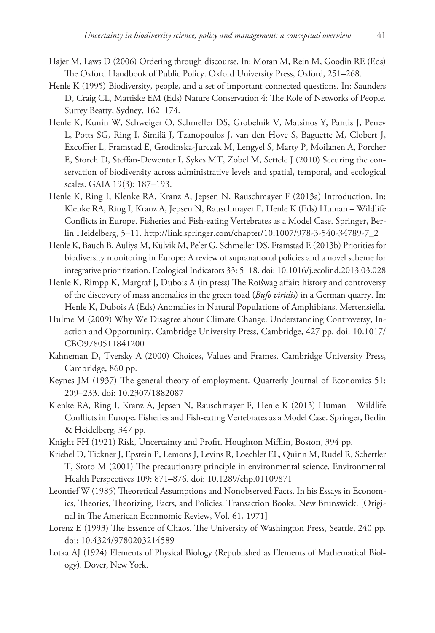- Hajer M, Laws D (2006) Ordering through discourse. In: Moran M, Rein M, Goodin RE (Eds) The Oxford Handbook of Public Policy. Oxford University Press, Oxford, 251–268.
- Henle K (1995) Biodiversity, people, and a set of important connected questions. In: Saunders D, Craig CL, Mattiske EM (Eds) Nature Conservation 4: The Role of Networks of People. Surrey Beatty, Sydney, 162–174.
- Henle K, Kunin W, Schweiger O, Schmeller DS, Grobelnik V, Matsinos Y, Pantis J, Penev L, Potts SG, Ring I, Similä J, Tzanopoulos J, van den Hove S, Baguette M, Clobert J, Excoffier L, Framstad E, Grodinska-Jurczak M, Lengyel S, Marty P, Moilanen A, Porcher E, Storch D, Steffan-Dewenter I, Sykes MT, Zobel M, Settele J (2010) Securing the conservation of biodiversity across administrative levels and spatial, temporal, and ecological scales. GAIA 19(3): 187–193.
- Henle K, Ring I, Klenke RA, Kranz A, Jepsen N, Rauschmayer F (2013a) Introduction. In: Klenke RA, Ring I, Kranz A, Jepsen N, Rauschmayer F, Henle K (Eds) Human – Wildlife Conflicts in Europe. Fisheries and Fish-eating Vertebrates as a Model Case. Springer, Berlin Heidelberg, 5–11. [http://link.springer.com/chapter/10.1007/978-3-540-34789-7\\_2](http://link.springer.com/chapter/10.1007/978-3-540-34789-7_2)
- Henle K, Bauch B, Auliya M, Külvik M, Pe'er G, Schmeller DS, Framstad E (2013b) Priorities for biodiversity monitoring in Europe: A review of supranational policies and a novel scheme for integrative prioritization. Ecological Indicators 33: 5–18. [doi: 10.1016/j.ecolind.2013.03.028](http://dx.doi.org/10.1016/j.ecolind.2013.03.028)
- Henle K, Rimpp K, Margraf J, Dubois A (in press) The Roßwag affair: history and controversy of the discovery of mass anomalies in the green toad (*Bufo viridis*) in a German quarry. In: Henle K, Dubois A (Eds) Anomalies in Natural Populations of Amphibians. Mertensiella.
- Hulme M (2009) Why We Disagree about Climate Change. Understanding Controversy, Inaction and Opportunity. Cambridge University Press, Cambridge, 427 pp. [doi: 10.1017/](http://dx.doi.org/10.1017/CBO9780511841200) [CBO9780511841200](http://dx.doi.org/10.1017/CBO9780511841200)
- Kahneman D, Tversky A (2000) Choices, Values and Frames. Cambridge University Press, Cambridge, 860 pp.
- Keynes JM (1937) The general theory of employment. Quarterly Journal of Economics 51: 209–233. [doi: 10.2307/1882087](http://dx.doi.org/10.2307/1882087)
- Klenke RA, Ring I, Kranz A, Jepsen N, Rauschmayer F, Henle K (2013) Human Wildlife Conflicts in Europe. Fisheries and Fish-eating Vertebrates as a Model Case. Springer, Berlin & Heidelberg, 347 pp.
- Knight FH (1921) Risk, Uncertainty and Profit. Houghton Mifflin, Boston, 394 pp.
- Kriebel D, Tickner J, Epstein P, Lemons J, Levins R, Loechler EL, Quinn M, Rudel R, Schettler T, Stoto M (2001) The precautionary principle in environmental science. Environmental Health Perspectives 109: 871–876. [doi: 10.1289/ehp.01109871](http://dx.doi.org/10.1289/ehp.01109871)
- Leontief W (1985) Theoretical Assumptions and Nonobserved Facts. In his Essays in Economics, Theories, Theorizing, Facts, and Policies. Transaction Books, New Brunswick. [Original in The American Econnomic Review, Vol. 61, 1971]
- Lorenz E (1993) The Essence of Chaos. The University of Washington Press, Seattle, 240 pp. [doi: 10.4324/9780203214589](http://dx.doi.org/10.4324/9780203214589)
- Lotka AJ (1924) Elements of Physical Biology (Republished as Elements of Mathematical Biology). Dover, New York.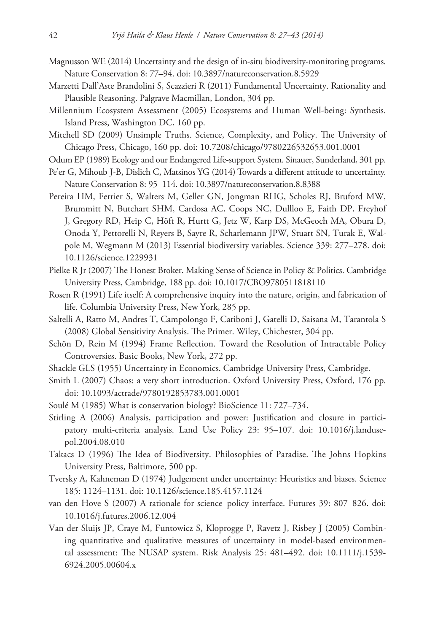- Magnusson WE (2014) Uncertainty and the design of in-situ biodiversity-monitoring programs. Nature Conservation 8: 77–94. [doi: 10.3897/natureconservation.8.5929](http://dx.doi.org/10.3897/natureconservation.8.5929)
- Marzetti Dall'Aste Brandolini S, Scazzieri R (2011) Fundamental Uncertainty. Rationality and Plausible Reasoning. Palgrave Macmillan, London, 304 pp.
- Millennium Ecosystem Assessment (2005) Ecosystems and Human Well-being: Synthesis. Island Press, Washington DC, 160 pp.
- Mitchell SD (2009) Unsimple Truths. Science, Complexity, and Policy. The University of Chicago Press, Chicago, 160 pp. [doi: 10.7208/chicago/9780226532653.001.0001](http://dx.doi.org/10.7208/chicago/9780226532653.001.0001)
- Odum EP (1989) Ecology and our Endangered Life-support System. Sinauer, Sunderland, 301 pp.
- Pe'er G, Mihoub J-B, Dislich C, Matsinos YG (2014) Towards a different attitude to uncertainty. Nature Conservation 8: 95–114. [doi: 10.3897/natureconservation.8.8388](http://dx.doi.org/10.3897/natureconservation.8.8388)
- Pereira HM, Ferrier S, Walters M, Geller GN, Jongman RHG, Scholes RJ, Bruford MW, Brummitt N, Butchart SHM, Cardosa AC, Coops NC, Dullloo E, Faith DP, Freyhof J, Gregory RD, Heip C, Höft R, Hurtt G, Jetz W, Karp DS, McGeoch MA, Obura D, Onoda Y, Pettorelli N, Reyers B, Sayre R, Scharlemann JPW, Stuart SN, Turak E, Walpole M, Wegmann M (2013) Essential biodiversity variables. Science 339: 277–278. [doi:](http://dx.doi.org/10.1126/science.1229931) [10.1126/science.1229931](http://dx.doi.org/10.1126/science.1229931)
- Pielke R Jr (2007) The Honest Broker. Making Sense of Science in Policy & Politics. Cambridge University Press, Cambridge, 188 pp. [doi: 10.1017/CBO9780511818110](http://dx.doi.org/10.1017/CBO9780511818110)
- Rosen R (1991) Life itself: A comprehensive inquiry into the nature, origin, and fabrication of life. Columbia University Press, New York, 285 pp.
- Saltelli A, Ratto M, Andres T, Campolongo F, Cariboni J, Gatelli D, Saisana M, Tarantola S (2008) Global Sensitivity Analysis. The Primer. Wiley, Chichester, 304 pp.
- Schön D, Rein M (1994) Frame Reflection. Toward the Resolution of Intractable Policy Controversies. Basic Books, New York, 272 pp.
- Shackle GLS (1955) Uncertainty in Economics. Cambridge University Press, Cambridge.
- Smith L (2007) Chaos: a very short introduction. Oxford University Press, Oxford, 176 pp. [doi: 10.1093/actrade/9780192853783.001.0001](http://dx.doi.org/10.1093/actrade/9780192853783.001.0001)
- Soulé M (1985) What is conservation biology? BioScience 11: 727–734.
- Stirling A (2006) Analysis, participation and power: Justification and closure in participatory multi-criteria analysis. Land Use Policy 23: 95–107. [doi: 10.1016/j.landuse](http://dx.doi.org/10.1016/j.landusepol.2004.08.010)[pol.2004.08.010](http://dx.doi.org/10.1016/j.landusepol.2004.08.010)
- Takacs D (1996) The Idea of Biodiversity. Philosophies of Paradise. The Johns Hopkins University Press, Baltimore, 500 pp.
- Tversky A, Kahneman D (1974) Judgement under uncertainty: Heuristics and biases. Science 185: 1124–1131. [doi: 10.1126/science.185.4157.1124](http://dx.doi.org/10.1126/science.185.4157.1124)
- van den Hove S (2007) A rationale for science–policy interface. Futures 39: 807–826. [doi:](http://dx.doi.org/10.1016/j.futures.2006.12.004) [10.1016/j.futures.2006.12.004](http://dx.doi.org/10.1016/j.futures.2006.12.004)
- Van der Sluijs JP, Craye M, Funtowicz S, Kloprogge P, Ravetz J, Risbey J (2005) Combining quantitative and qualitative measures of uncertainty in model-based environmental assessment: The NUSAP system. Risk Analysis 25: 481–492. [doi: 10.1111/j.1539-](http://dx.doi.org/10.1111/j.1539-6924.2005.00604.x) [6924.2005.00604.x](http://dx.doi.org/10.1111/j.1539-6924.2005.00604.x)